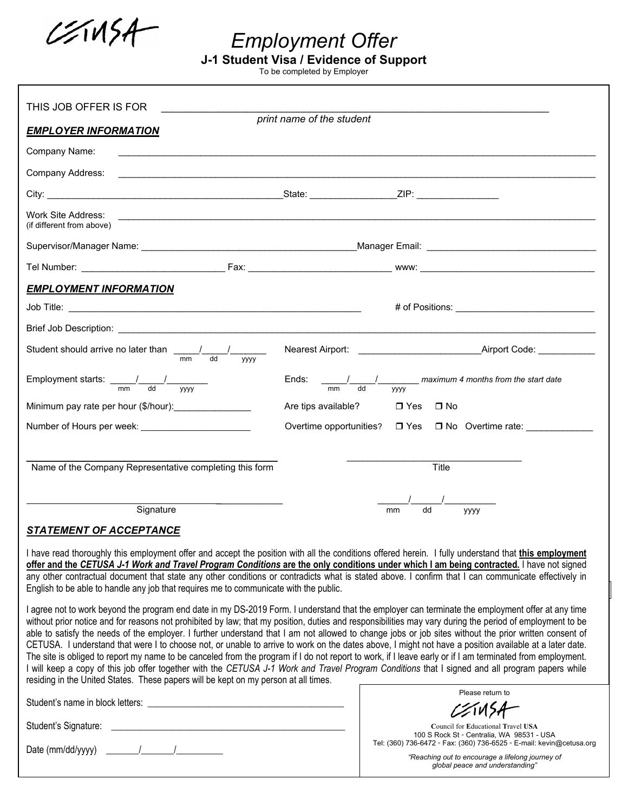$221154$ 

*Employment Offer* 

**J-1 Student Visa / Evidence of Support** 

To be completed by Employer

| THIS JOB OFFER IS FOR                                                                                                                                                                                                                                                                                                                                                                                                                                                                                                                                                                                                                                                                                                                                                                                                                                                                                                                                                                                                                    |                         |                                                                                 |  |  |  |  |  |  |  |  |  |
|------------------------------------------------------------------------------------------------------------------------------------------------------------------------------------------------------------------------------------------------------------------------------------------------------------------------------------------------------------------------------------------------------------------------------------------------------------------------------------------------------------------------------------------------------------------------------------------------------------------------------------------------------------------------------------------------------------------------------------------------------------------------------------------------------------------------------------------------------------------------------------------------------------------------------------------------------------------------------------------------------------------------------------------|-------------------------|---------------------------------------------------------------------------------|--|--|--|--|--|--|--|--|--|
| print name of the student<br><b>EMPLOYER INFORMATION</b>                                                                                                                                                                                                                                                                                                                                                                                                                                                                                                                                                                                                                                                                                                                                                                                                                                                                                                                                                                                 |                         |                                                                                 |  |  |  |  |  |  |  |  |  |
| Company Name:                                                                                                                                                                                                                                                                                                                                                                                                                                                                                                                                                                                                                                                                                                                                                                                                                                                                                                                                                                                                                            |                         |                                                                                 |  |  |  |  |  |  |  |  |  |
| Company Address:                                                                                                                                                                                                                                                                                                                                                                                                                                                                                                                                                                                                                                                                                                                                                                                                                                                                                                                                                                                                                         |                         |                                                                                 |  |  |  |  |  |  |  |  |  |
|                                                                                                                                                                                                                                                                                                                                                                                                                                                                                                                                                                                                                                                                                                                                                                                                                                                                                                                                                                                                                                          |                         |                                                                                 |  |  |  |  |  |  |  |  |  |
| Work Site Address:<br>,我们也不会有什么。""我们的人,我们也不会有什么?""我们的人,我们也不会有什么?""我们的人,我们也不会有什么?""我们的人,我们也不会有什么?""我们的人<br>(if different from above)                                                                                                                                                                                                                                                                                                                                                                                                                                                                                                                                                                                                                                                                                                                                                                                                                                                                                                      |                         |                                                                                 |  |  |  |  |  |  |  |  |  |
|                                                                                                                                                                                                                                                                                                                                                                                                                                                                                                                                                                                                                                                                                                                                                                                                                                                                                                                                                                                                                                          |                         |                                                                                 |  |  |  |  |  |  |  |  |  |
|                                                                                                                                                                                                                                                                                                                                                                                                                                                                                                                                                                                                                                                                                                                                                                                                                                                                                                                                                                                                                                          |                         |                                                                                 |  |  |  |  |  |  |  |  |  |
| <b>EMPLOYMENT INFORMATION</b>                                                                                                                                                                                                                                                                                                                                                                                                                                                                                                                                                                                                                                                                                                                                                                                                                                                                                                                                                                                                            |                         |                                                                                 |  |  |  |  |  |  |  |  |  |
|                                                                                                                                                                                                                                                                                                                                                                                                                                                                                                                                                                                                                                                                                                                                                                                                                                                                                                                                                                                                                                          |                         |                                                                                 |  |  |  |  |  |  |  |  |  |
|                                                                                                                                                                                                                                                                                                                                                                                                                                                                                                                                                                                                                                                                                                                                                                                                                                                                                                                                                                                                                                          |                         |                                                                                 |  |  |  |  |  |  |  |  |  |
| Student should arrive no later than $\frac{1}{\text{mm}}$ $\frac{1}{\text{dd}}$<br><b>VVVV</b>                                                                                                                                                                                                                                                                                                                                                                                                                                                                                                                                                                                                                                                                                                                                                                                                                                                                                                                                           |                         | Airport Code:                                                                   |  |  |  |  |  |  |  |  |  |
| mm<br>dd<br><b>VVVV</b>                                                                                                                                                                                                                                                                                                                                                                                                                                                                                                                                                                                                                                                                                                                                                                                                                                                                                                                                                                                                                  | Ends:<br>mm<br>dd       | maximum 4 months from the start date<br>уууу                                    |  |  |  |  |  |  |  |  |  |
| Minimum pay rate per hour (\$/hour): Minimum pay rate per hour (\$/hour):                                                                                                                                                                                                                                                                                                                                                                                                                                                                                                                                                                                                                                                                                                                                                                                                                                                                                                                                                                | Are tips available?     | $\Box$ Yes $\Box$ No                                                            |  |  |  |  |  |  |  |  |  |
|                                                                                                                                                                                                                                                                                                                                                                                                                                                                                                                                                                                                                                                                                                                                                                                                                                                                                                                                                                                                                                          | Overtime opportunities? | □ Yes □ No Overtime rate: ___________                                           |  |  |  |  |  |  |  |  |  |
|                                                                                                                                                                                                                                                                                                                                                                                                                                                                                                                                                                                                                                                                                                                                                                                                                                                                                                                                                                                                                                          |                         |                                                                                 |  |  |  |  |  |  |  |  |  |
| Name of the Company Representative completing this form                                                                                                                                                                                                                                                                                                                                                                                                                                                                                                                                                                                                                                                                                                                                                                                                                                                                                                                                                                                  |                         | Title                                                                           |  |  |  |  |  |  |  |  |  |
| Signature                                                                                                                                                                                                                                                                                                                                                                                                                                                                                                                                                                                                                                                                                                                                                                                                                                                                                                                                                                                                                                |                         | dd<br>mm<br><b>YYYY</b>                                                         |  |  |  |  |  |  |  |  |  |
| <b>STATEMENT OF ACCEPTANCE</b>                                                                                                                                                                                                                                                                                                                                                                                                                                                                                                                                                                                                                                                                                                                                                                                                                                                                                                                                                                                                           |                         |                                                                                 |  |  |  |  |  |  |  |  |  |
| I have read thoroughly this employment offer and accept the position with all the conditions offered herein. I fully understand that this employment<br>offer and the CETUSA J-1 Work and Travel Program Conditions are the only conditions under which I am being contracted. I have not signed<br>any other contractual document that state any other conditions or contradicts what is stated above. I confirm that I can communicate effectively in<br>English to be able to handle any job that requires me to communicate with the public.                                                                                                                                                                                                                                                                                                                                                                                                                                                                                         |                         |                                                                                 |  |  |  |  |  |  |  |  |  |
| I agree not to work beyond the program end date in my DS-2019 Form. I understand that the employer can terminate the employment offer at any time<br>without prior notice and for reasons not prohibited by law; that my position, duties and responsibilities may vary during the period of employment to be<br>able to satisfy the needs of the employer. I further understand that I am not allowed to change jobs or job sites without the prior written consent of<br>CETUSA. I understand that were I to choose not, or unable to arrive to work on the dates above, I might not have a position available at a later date.<br>The site is obliged to report my name to be canceled from the program if I do not report to work, if I leave early or if I am terminated from employment.<br>I will keep a copy of this job offer together with the CETUSA J-1 Work and Travel Program Conditions that I signed and all program papers while<br>residing in the United States. These papers will be kept on my person at all times. |                         |                                                                                 |  |  |  |  |  |  |  |  |  |
|                                                                                                                                                                                                                                                                                                                                                                                                                                                                                                                                                                                                                                                                                                                                                                                                                                                                                                                                                                                                                                          |                         | Please return to                                                                |  |  |  |  |  |  |  |  |  |
| Student's Signature:<br><u> 1989 - Johann John Stein, mars an deus Frankrik (f. 1989)</u>                                                                                                                                                                                                                                                                                                                                                                                                                                                                                                                                                                                                                                                                                                                                                                                                                                                                                                                                                |                         | Council for Educational Travel USA<br>100 S Rock St · Centralia, WA 98531 - USA |  |  |  |  |  |  |  |  |  |

Date (mm/dd/yyyy) \_\_\_\_\_\_\_/\_\_\_\_\_\_\_/\_\_\_\_\_\_\_\_\_\_

Tel: (360) 736-6472 ◦ Fax: (360) 736-6525 ◦ E-mail: kevin@cetusa.org *"Reaching out to encourage a lifelong journey of global peace and understanding"*